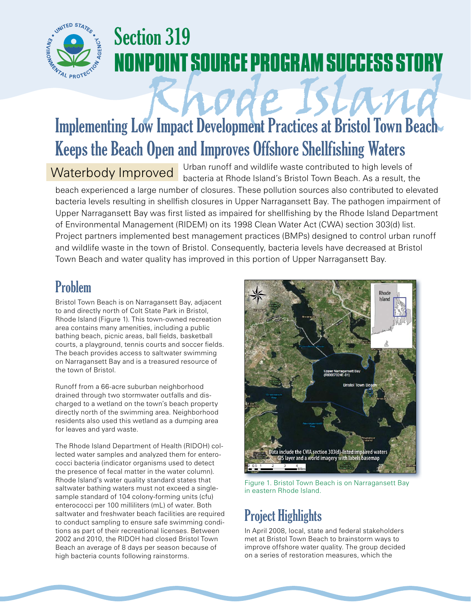

# Section 319 **NONPOINT SOURCE PROGRAM SUCCESS STORY**

# Rhode Island Implementing Low Impact Development Practices at Bristol Town Beach Keeps the Beach Open and Improves Offshore Shellfishing Waters

### Waterbody Improved

Urban runoff and wildlife waste contributed to high levels of bacteria at Rhode Island's Bristol Town Beach. As a result, the

beach experienced a large number of closures. These pollution sources also contributed to elevated bacteria levels resulting in shellfish closures in Upper Narragansett Bay. The pathogen impairment of Upper Narragansett Bay was first listed as impaired for shellfishing by the Rhode Island Department of Environmental Management (RIDEM) on its 1998 Clean Water Act (CWA) section 303(d) list. Project partners implemented best management practices (BMPs) designed to control urban runoff and wildlife waste in the town of Bristol. Consequently, bacteria levels have decreased at Bristol Town Beach and water quality has improved in this portion of Upper Narragansett Bay.

## Problem

Bristol Town Beach is on Narragansett Bay, adjacent to and directly north of Colt State Park in Bristol, Rhode Island (Figure 1). This town-owned recreation area contains many amenities, including a public bathing beach, picnic areas, ball fields, basketball courts, a playground, tennis courts and soccer fields. The beach provides access to saltwater swimming on Narragansett Bay and is a treasured resource of the town of Bristol.

Runoff from a 66-acre suburban neighborhood drained through two stormwater outfalls and discharged to a wetland on the town's beach property directly north of the swimming area. Neighborhood residents also used this wetland as a dumping area for leaves and yard waste.

The Rhode Island Department of Health (RIDOH) collected water samples and analyzed them for enterococci bacteria (indicator organisms used to detect the presence of fecal matter in the water column). Rhode Island's water quality standard states that saltwater bathing waters must not exceed a singlesample standard of 104 colony-forming units (cfu) enterococci per 100 milliliters (mL) of water. Both saltwater and freshwater beach facilities are required to conduct sampling to ensure safe swimming conditions as part of their recreational licenses. Between 2002 and 2010, the RIDOH had closed Bristol Town Beach an average of 8 days per season because of high bacteria counts following rainstorms.



Figure 1. Bristol Town Beach is on Narragansett Bay in eastern Rhode Island.

# Project Highlights

In April 2008, local, state and federal stakeholders met at Bristol Town Beach to brainstorm ways to improve offshore water quality. The group decided on a series of restoration measures, which the